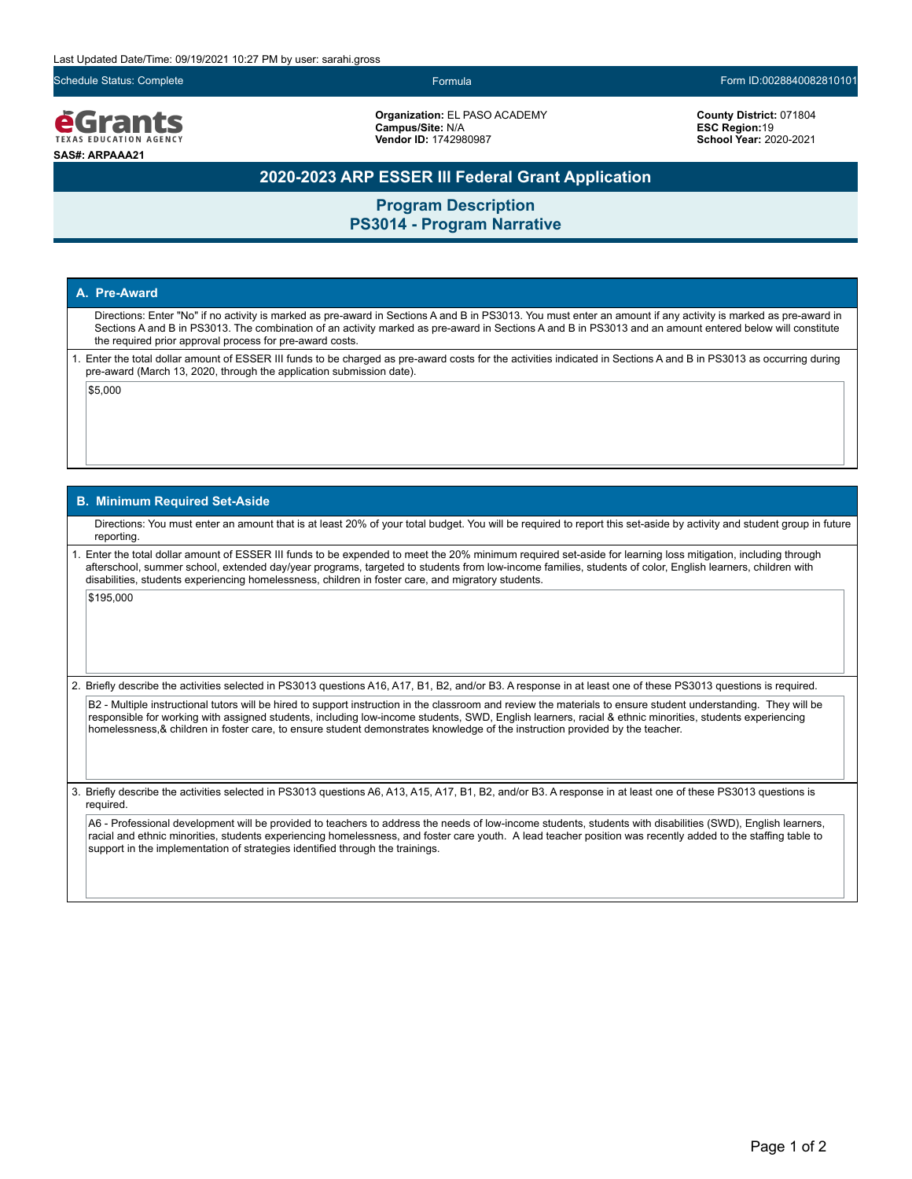Schedule Status: Complete Formula Form ID:0028840082810101

egrants **TEXAS EDUCATION AGENO SAS#: ARPAAA21**

**Organization:** EL PASO ACADEMY **Campus/Site:** N/A **Vendor ID:** 1742980987

**County District:** 071804 **ESC Region:**19 **School Year:** 2020-2021

## **2020-2023 ARP ESSER III Federal Grant Application**

**Program Description PS3014 - Program Narrative**

### **A. Pre-Award**

Directions: Enter "No" if no activity is marked as pre-award in Sections A and B in PS3013. You must enter an amount if any activity is marked as pre-award in Sections A and B in PS3013. The combination of an activity marked as pre-award in Sections A and B in PS3013 and an amount entered below will constitute the required prior approval process for pre-award costs.

1. Enter the total dollar amount of ESSER III funds to be charged as pre-award costs for the activities indicated in Sections A and B in PS3013 as occurring during pre-award (March 13, 2020, through the application submission date).

 $|$ \$5,000

#### **B. Minimum Required Set-Aside**

Directions: You must enter an amount that is at least 20% of your total budget. You will be required to report this set-aside by activity and student group in future reporting.

1. Enter the total dollar amount of ESSER III funds to be expended to meet the 20% minimum required set-aside for learning loss mitigation, including through afterschool, summer school, extended day/year programs, targeted to students from low-income families, students of color, English learners, children with disabilities, students experiencing homelessness, children in foster care, and migratory students.

\$195,000

2. Briefly describe the activities selected in PS3013 questions A16, A17, B1, B2, and/or B3. A response in at least one of these PS3013 questions is required.

B2 - Multiple instructional tutors will be hired to support instruction in the classroom and review the materials to ensure student understanding. They will be responsible for working with assigned students, including low-income students, SWD, English learners, racial & ethnic minorities, students experiencing homelessness,& children in foster care, to ensure student demonstrates knowledge of the instruction provided by the teacher.

3. Briefly describe the activities selected in PS3013 questions A6, A13, A15, A17, B1, B2, and/or B3. A response in at least one of these PS3013 questions is required.

A6 - Professional development will be provided to teachers to address the needs of low-income students, students with disabilities (SWD), English learners, racial and ethnic minorities, students experiencing homelessness, and foster care youth. A lead teacher position was recently added to the staffing table to support in the implementation of strategies identified through the trainings.